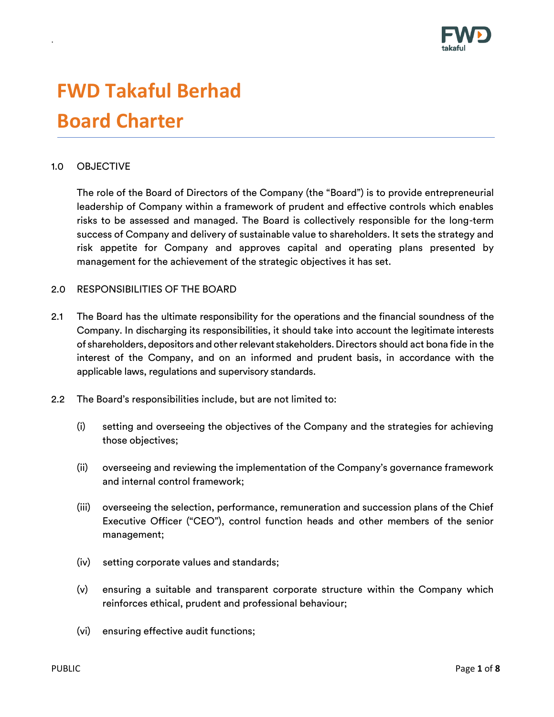

# **FWD Takaful Berhad Board Charter**

# 1.0 OBJECTIVE

.

The role of the Board of Directors of the Company (the "Board") is to provide entrepreneurial leadership of Company within a framework of prudent and effective controls which enables risks to be assessed and managed. The Board is collectively responsible for the long-term success of Company and delivery of sustainable value to shareholders. It sets the strategy and risk appetite for Company and approves capital and operating plans presented by management for the achievement of the strategic objectives it has set.

#### 2.0 RESPONSIBILITIES OF THE BOARD

- 2.1 The Board has the ultimate responsibility for the operations and the financial soundness of the Company. In discharging its responsibilities, it should take into account the legitimate interests of shareholders, depositors and other relevant stakeholders. Directors should act bona fide in the interest of the Company, and on an informed and prudent basis, in accordance with the applicable laws, regulations and supervisory standards.
- 2.2 The Board's responsibilities include, but are not limited to:
	- (i) setting and overseeing the objectives of the Company and the strategies for achieving those objectives;
	- (ii) overseeing and reviewing the implementation of the Company's governance framework and internal control framework;
	- (iii) overseeing the selection, performance, remuneration and succession plans of the Chief Executive Officer ("CEO"), control function heads and other members of the senior management;
	- (iv) setting corporate values and standards;
	- (v) ensuring a suitable and transparent corporate structure within the Company which reinforces ethical, prudent and professional behaviour;
	- (vi) ensuring effective audit functions;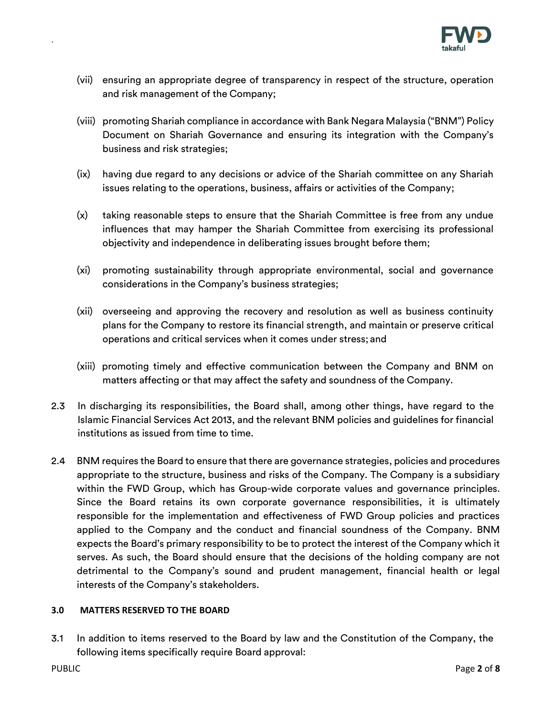

- (vii) ensuring an appropriate degree of transparency in respect of the structure, operation and risk management of the Company;
- (viii) promoting Shariah compliance in accordance with Bank Negara Malaysia ("BNM") Policy Document on Shariah Governance and ensuring its integration with the Company's business and risk strategies;
- (ix) having due regard to any decisions or advice of the Shariah committee on any Shariah issues relating to the operations, business, affairs or activities of the Company;
- (x) taking reasonable steps to ensure that the Shariah Committee is free from any undue influences that may hamper the Shariah Committee from exercising its professional objectivity and independence in deliberating issues brought before them;
- (xi) promoting sustainability through appropriate environmental, social and governance considerations in the Company's business strategies;
- (xii) overseeing and approving the recovery and resolution as well as business continuity plans for the Company to restore its financial strength, and maintain or preserve critical operations and critical services when it comes under stress; and
- (xiii) promoting timely and effective communication between the Company and BNM on matters affecting or that may affect the safety and soundness of the Company.
- 2.3 In discharging its responsibilities, the Board shall, among other things, have regard to the Islamic Financial Services Act 2013, and the relevant BNM policies and guidelines for financial institutions as issued from time to time.
- 2.4 BNM requires the Board to ensure that there are governance strategies, policies and procedures appropriate to the structure, business and risks of the Company. The Company is a subsidiary within the FWD Group, which has Group-wide corporate values and governance principles. Since the Board retains its own corporate governance responsibilities, it is ultimately responsible for the implementation and effectiveness of FWD Group policies and practices applied to the Company and the conduct and financial soundness of the Company. BNM expects the Board's primary responsibility to be to protect the interest of the Company which it serves. As such, the Board should ensure that the decisions of the holding company are not detrimental to the Company's sound and prudent management, financial health or legal interests of the Company's stakeholders.

# **3.0 MATTERS RESERVED TO THE BOARD**

3.1 In addition to items reserved to the Board by law and the Constitution of the Company, the following items specifically require Board approval: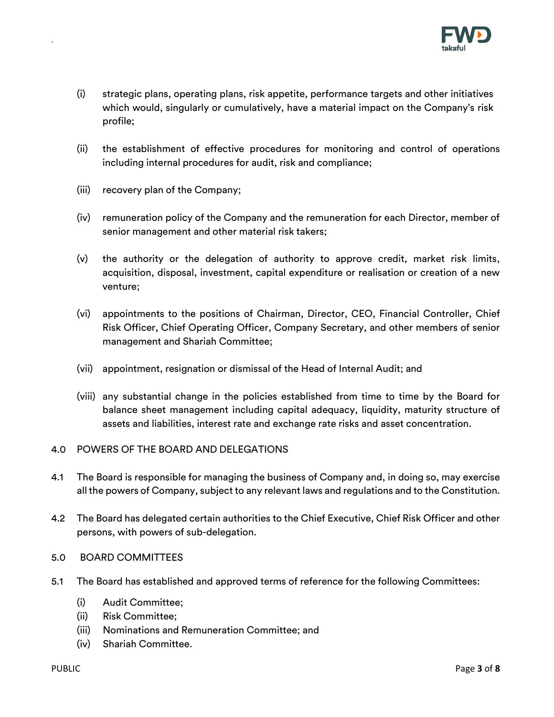

- (i) strategic plans, operating plans, risk appetite, performance targets and other initiatives which would, singularly or cumulatively, have a material impact on the Company's risk profile;
- (ii) the establishment of effective procedures for monitoring and control of operations including internal procedures for audit, risk and compliance;
- (iii) recovery plan of the Company;

- (iv) remuneration policy of the Company and the remuneration for each Director, member of senior management and other material risk takers;
- (v) the authority or the delegation of authority to approve credit, market risk limits, acquisition, disposal, investment, capital expenditure or realisation or creation of a new venture;
- (vi) appointments to the positions of Chairman, Director, CEO, Financial Controller, Chief Risk Officer, Chief Operating Officer, Company Secretary, and other members of senior management and Shariah Committee;
- (vii) appointment, resignation or dismissal of the Head of Internal Audit; and
- (viii) any substantial change in the policies established from time to time by the Board for balance sheet management including capital adequacy, liquidity, maturity structure of assets and liabilities, interest rate and exchange rate risks and asset concentration.
- 4.0 POWERS OF THE BOARD AND DELEGATIONS
- 4.1 The Board is responsible for managing the business of Company and, in doing so, may exercise all the powers of Company, subject to any relevant laws and regulations and to the Constitution.
- 4.2 The Board has delegated certain authorities to the Chief Executive, Chief Risk Officer and other persons, with powers of sub-delegation.
- 5.0 BOARD COMMITTEES
- 5.1 The Board has established and approved terms of reference for the following Committees:
	- (i) Audit Committee;
	- (ii) Risk Committee;
	- (iii) Nominations and Remuneration Committee; and
	- (iv) Shariah Committee.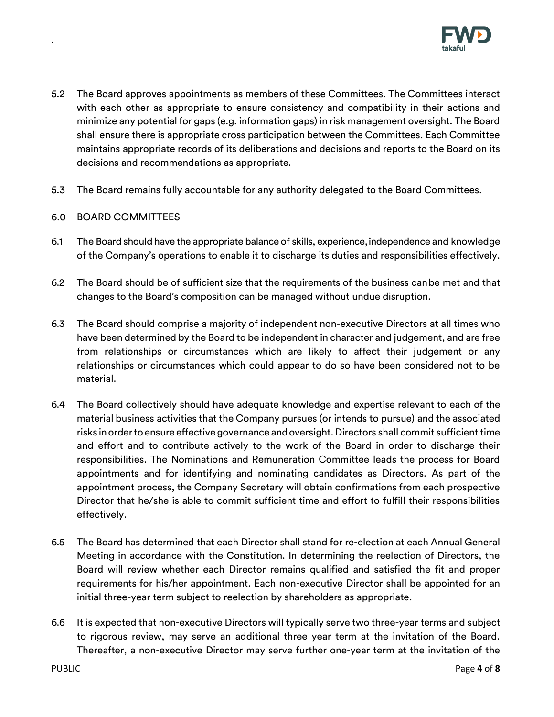

- 5.2 The Board approves appointments as members of these Committees. The Committees interact with each other as appropriate to ensure consistency and compatibility in their actions and minimize any potential for gaps (e.g. information gaps) in risk management oversight. The Board shall ensure there is appropriate cross participation between the Committees. Each Committee maintains appropriate records of its deliberations and decisions and reports to the Board on its decisions and recommendations as appropriate.
- 5.3 The Board remains fully accountable for any authority delegated to the Board Committees.

# 6.0 BOARD COMMITTEES

- 6.1 The Board should have the appropriate balance of skills, experience,independence and knowledge of the Company's operations to enable it to discharge its duties and responsibilities effectively.
- 6.2 The Board should be of sufficient size that the requirements of the business canbe met and that changes to the Board's composition can be managed without undue disruption.
- 6.3 The Board should comprise a majority of independent non-executive Directors at all times who have been determined by the Board to be independent in character and judgement, and are free from relationships or circumstances which are likely to affect their judgement or any relationships or circumstances which could appear to do so have been considered not to be material.
- 6.4 The Board collectively should have adequate knowledge and expertise relevant to each of the material business activities that the Company pursues (or intends to pursue) and the associated risks inorderto ensure effective governance andoversight. Directors shall commit sufficient time and effort and to contribute actively to the work of the Board in order to discharge their responsibilities. The Nominations and Remuneration Committee leads the process for Board appointments and for identifying and nominating candidates as Directors. As part of the appointment process, the Company Secretary will obtain confirmations from each prospective Director that he/she is able to commit sufficient time and effort to fulfill their responsibilities effectively.
- 6.5 The Board has determined that each Director shall stand for re-election at each Annual General Meeting in accordance with the Constitution. In determining the reelection of Directors, the Board will review whether each Director remains qualified and satisfied the fit and proper requirements for his/her appointment. Each non-executive Director shall be appointed for an initial three-year term subject to reelection by shareholders as appropriate.
- 6.6 It is expected that non-executive Directors will typically serve two three-year terms and subject to rigorous review, may serve an additional three year term at the invitation of the Board. Thereafter, a non-executive Director may serve further one-year term at the invitation of the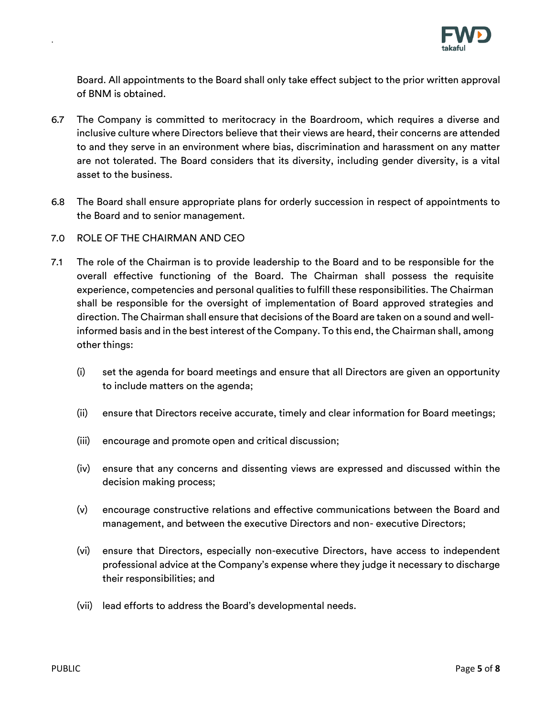

Board. All appointments to the Board shall only take effect subject to the prior written approval of BNM is obtained.

- 6.7 The Company is committed to meritocracy in the Boardroom, which requires a diverse and inclusive culture where Directors believe that their views are heard, their concerns are attended to and they serve in an environment where bias, discrimination and harassment on any matter are not tolerated. The Board considers that its diversity, including gender diversity, is a vital asset to the business.
- 6.8 The Board shall ensure appropriate plans for orderly succession in respect of appointments to the Board and to senior management.
- 7.0 ROLE OF THE CHAIRMAN AND CEO

- 7.1 The role of the Chairman is to provide leadership to the Board and to be responsible for the overall effective functioning of the Board. The Chairman shall possess the requisite experience, competencies and personal qualities to fulfill these responsibilities. The Chairman shall be responsible for the oversight of implementation of Board approved strategies and direction. The Chairman shall ensure that decisions of the Board are taken on a sound and wellinformed basis and in the best interest of the Company. To this end, the Chairman shall, among other things:
	- (i) set the agenda for board meetings and ensure that all Directors are given an opportunity to include matters on the agenda;
	- (ii) ensure that Directors receive accurate, timely and clear information for Board meetings;
	- (iii) encourage and promote open and critical discussion;
	- (iv) ensure that any concerns and dissenting views are expressed and discussed within the decision making process;
	- (v) encourage constructive relations and effective communications between the Board and management, and between the executive Directors and non- executive Directors;
	- (vi) ensure that Directors, especially non-executive Directors, have access to independent professional advice at the Company's expense where they judge it necessary to discharge their responsibilities; and
	- (vii) lead efforts to address the Board's developmental needs.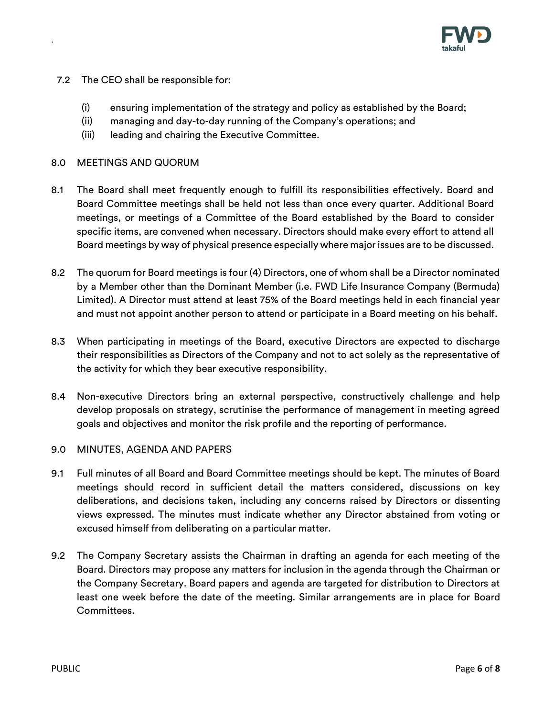

- 7.2 The CEO shall be responsible for:
	- (i) ensuring implementation of the strategy and policy as established by the Board;
	- (ii) managing and day-to-day running of the Company's operations; and
	- (iii) leading and chairing the Executive Committee.

# 8.0 MEETINGS AND QUORUM

.

- 8.1 The Board shall meet frequently enough to fulfill its responsibilities effectively. Board and Board Committee meetings shall be held not less than once every quarter. Additional Board meetings, or meetings of a Committee of the Board established by the Board to consider specific items, are convened when necessary. Directors should make every effort to attend all Board meetings by way of physical presence especially where major issues are to be discussed.
- 8.2 The quorum for Board meetings is four (4) Directors, one of whom shall be a Director nominated by a Member other than the Dominant Member (i.e. FWD Life Insurance Company (Bermuda) Limited). A Director must attend at least 75% of the Board meetings held in each financial year and must not appoint another person to attend or participate in a Board meeting on his behalf.
- 8.3 When participating in meetings of the Board, executive Directors are expected to discharge their responsibilities as Directors of the Company and not to act solely as the representative of the activity for which they bear executive responsibility.
- 8.4 Non-executive Directors bring an external perspective, constructively challenge and help develop proposals on strategy, scrutinise the performance of management in meeting agreed goals and objectives and monitor the risk profile and the reporting of performance.

#### 9.0 MINUTES, AGENDA AND PAPERS

- 9.1 Full minutes of all Board and Board Committee meetings should be kept. The minutes of Board meetings should record in sufficient detail the matters considered, discussions on key deliberations, and decisions taken, including any concerns raised by Directors or dissenting views expressed. The minutes must indicate whether any Director abstained from voting or excused himself from deliberating on a particular matter.
- 9.2 The Company Secretary assists the Chairman in drafting an agenda for each meeting of the Board. Directors may propose any matters for inclusion in the agenda through the Chairman or the Company Secretary. Board papers and agenda are targeted for distribution to Directors at least one week before the date of the meeting. Similar arrangements are in place for Board Committees.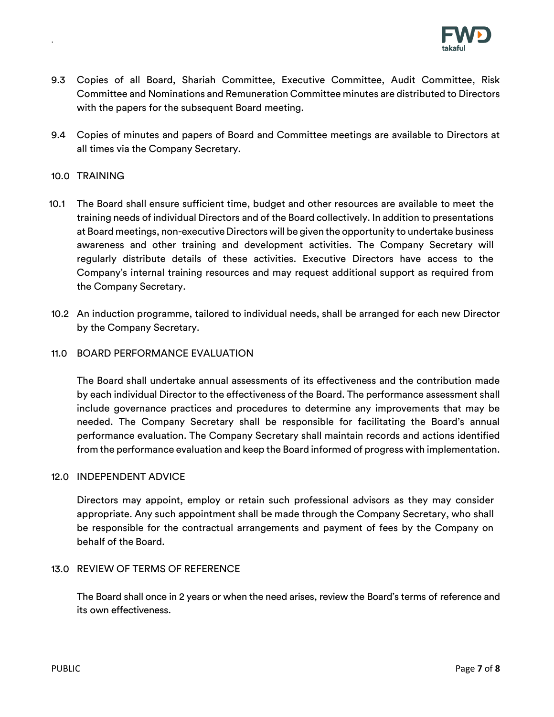

- 9.3 Copies of all Board, Shariah Committee, Executive Committee, Audit Committee, Risk Committee and Nominations and Remuneration Committee minutes are distributed to Directors with the papers for the subsequent Board meeting.
- 9.4 Copies of minutes and papers of Board and Committee meetings are available to Directors at all times via the Company Secretary.

## 10.0 TRAINING

.

- 10.1 The Board shall ensure sufficient time, budget and other resources are available to meet the training needs of individual Directors and of the Board collectively. In addition to presentations at Board meetings, non-executive Directors will be given the opportunity to undertake business awareness and other training and development activities. The Company Secretary will regularly distribute details of these activities. Executive Directors have access to the Company's internal training resources and may request additional support as required from the Company Secretary.
- 10.2 An induction programme, tailored to individual needs, shall be arranged for each new Director by the Company Secretary.

#### 11.0 BOARD PERFORMANCE EVALUATION

The Board shall undertake annual assessments of its effectiveness and the contribution made by each individual Director to the effectiveness of the Board. The performance assessment shall include governance practices and procedures to determine any improvements that may be needed. The Company Secretary shall be responsible for facilitating the Board's annual performance evaluation. The Company Secretary shall maintain records and actions identified from the performance evaluation and keep the Board informed of progress with implementation.

#### 12.0 INDEPENDENT ADVICE

Directors may appoint, employ or retain such professional advisors as they may consider appropriate. Any such appointment shall be made through the Company Secretary, who shall be responsible for the contractual arrangements and payment of fees by the Company on behalf of the Board.

# 13.0 REVIEW OF TERMS OF REFERENCE

The Board shall once in 2 years or when the need arises, review the Board's terms of reference and its own effectiveness.